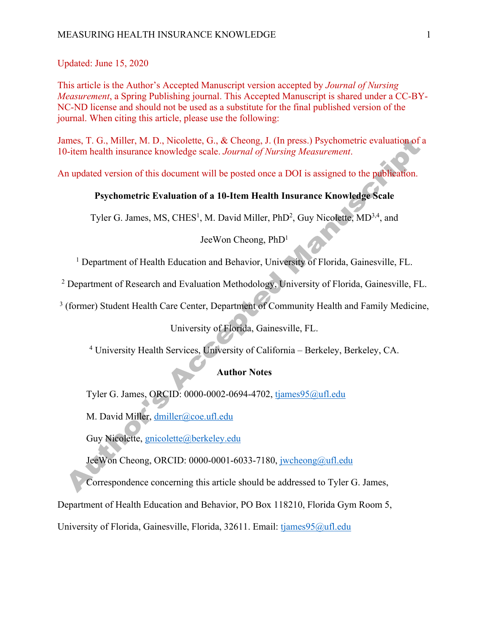Updated: June 15, 2020

This article is the Author's Accepted Manuscript version accepted by *Journal of Nursing Measurement*, a Spring Publishing journal. This Accepted Manuscript is shared under a CC-BY-NC-ND license and should not be used as a substitute for the final published version of the journal. When citing this article, please use the following:

James, T. G., Miller, M. D., Nicolette, G., & Cheong, J. (In press.) Psychometric evaluation of a 10-item health insurance knowledge scale. *Journal of Nursing Measurement*.

An updated version of this document will be posted once a DOI is assigned to the publication.

# **Psychometric Evaluation of a 10-Item Health Insurance Knowledge Scale**

Tyler G. James, MS, CHES<sup>1</sup>, M. David Miller, PhD<sup>2</sup>, Guy Nicolette, MD<sup>3,4</sup>, and

# JeeWon Cheong, PhD1

<sup>1</sup> Department of Health Education and Behavior, University of Florida, Gainesville, FL.

<sup>2</sup> Department of Research and Evaluation Methodology, University of Florida, Gainesville, FL.

<sup>3</sup> (former) Student Health Care Center, Department of Community Health and Family Medicine,

University of Florida, Gainesville, FL.

<sup>4</sup> University Health Services, University of California – Berkeley, Berkeley, CA.

# **Author Notes**

Tyler G. James, ORCID: 0000-0002-0694-4702, tjames95@ufl.edu

M. David Miller, dmiller@coe.ufl.edu

Guy Nicolette, gnicolette@berkeley.edu

JeeWon Cheong, ORCID: 0000-0001-6033-7180, jwcheong@ufl.edu

Correspondence concerning this article should be addressed to Tyler G. James,

Department of Health Education and Behavior, PO Box 118210, Florida Gym Room 5,

University of Florida, Gainesville, Florida, 32611. Email: tjames95@ufl.edu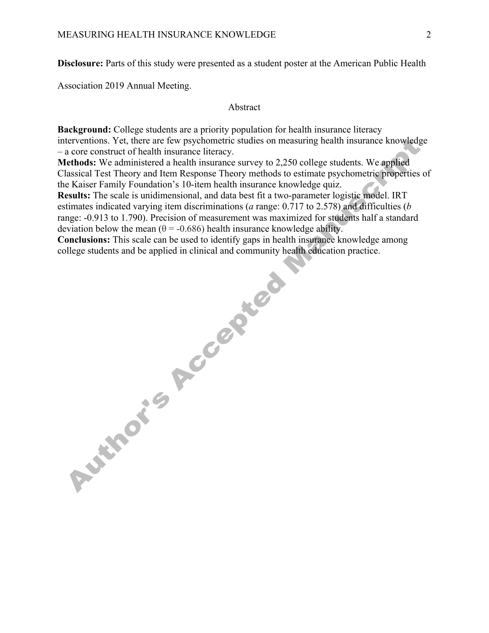**Disclosure:** Parts of this study were presented as a student poster at the American Public Health

Association 2019 Annual Meeting.

#### Abstract

**Background:** College students are a priority population for health insurance literacy interventions. Yet, there are few psychometric studies on measuring health insurance knowledge – a core construct of health insurance literacy.

**Methods:** We administered a health insurance survey to 2,250 college students. We applied Classical Test Theory and Item Response Theory methods to estimate psychometric properties of the Kaiser Family Foundation's 10-item health insurance knowledge quiz.

**Results:** The scale is unidimensional, and data best fit a two-parameter logistic model. IRT estimates indicated varying item discriminations (*a* range: 0.717 to 2.578) and difficulties (*b* range: -0.913 to 1.790). Precision of measurement was maximized for students half a standard deviation below the mean ( $\theta$  = -0.686) health insurance knowledge ability.

**Conclusions:** This scale can be used to identify gaps in health insurance knowledge among college students and be applied in clinical and community health education practice. college students and be applied in clinical and community health education practice.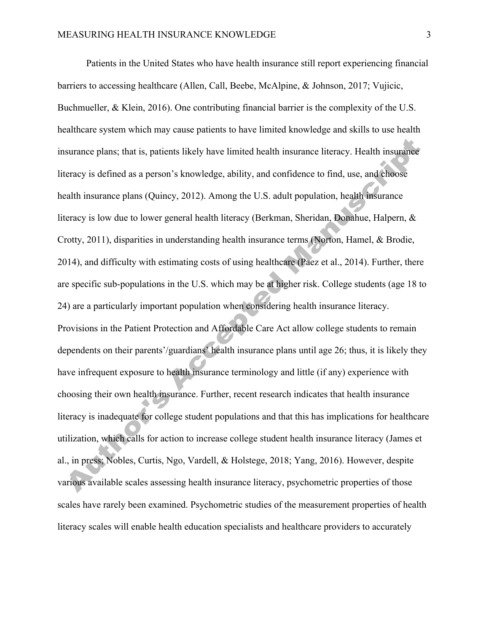Patients in the United States who have health insurance still report experiencing financial barriers to accessing healthcare (Allen, Call, Beebe, McAlpine, & Johnson, 2017; Vujicic, Buchmueller, & Klein, 2016). One contributing financial barrier is the complexity of the U.S. healthcare system which may cause patients to have limited knowledge and skills to use health insurance plans; that is, patients likely have limited health insurance literacy. Health insurance literacy is defined as a person's knowledge, ability, and confidence to find, use, and choose health insurance plans (Quincy, 2012). Among the U.S. adult population, health insurance literacy is low due to lower general health literacy (Berkman, Sheridan, Donahue, Halpern, & Crotty, 2011), disparities in understanding health insurance terms (Norton, Hamel, & Brodie, 2014), and difficulty with estimating costs of using healthcare (Paez et al., 2014). Further, there are specific sub-populations in the U.S. which may be at higher risk. College students (age 18 to 24) are a particularly important population when considering health insurance literacy. Provisions in the Patient Protection and Affordable Care Act allow college students to remain dependents on their parents'/guardians' health insurance plans until age 26; thus, it is likely they have infrequent exposure to health insurance terminology and little (if any) experience with choosing their own health insurance. Further, recent research indicates that health insurance literacy is inadequate for college student populations and that this has implications for healthcare utilization, which calls for action to increase college student health insurance literacy (James et al., in press; Nobles, Curtis, Ngo, Vardell, & Holstege, 2018; Yang, 2016). However, despite various available scales assessing health insurance literacy, psychometric properties of those scales have rarely been examined. Psychometric studies of the measurement properties of health literacy scales will enable health education specialists and healthcare providers to accurately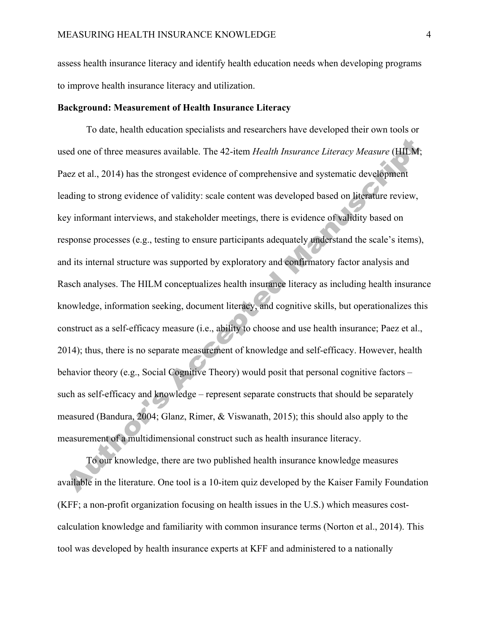assess health insurance literacy and identify health education needs when developing programs to improve health insurance literacy and utilization.

### **Background: Measurement of Health Insurance Literacy**

To date, health education specialists and researchers have developed their own tools or used one of three measures available. The 42-item *Health Insurance Literacy Measure* (HILM; Paez et al., 2014) has the strongest evidence of comprehensive and systematic development leading to strong evidence of validity: scale content was developed based on literature review, key informant interviews, and stakeholder meetings, there is evidence of validity based on response processes (e.g., testing to ensure participants adequately understand the scale's items), and its internal structure was supported by exploratory and confirmatory factor analysis and Rasch analyses. The HILM conceptualizes health insurance literacy as including health insurance knowledge, information seeking, document literacy, and cognitive skills, but operationalizes this construct as a self-efficacy measure (i.e., ability to choose and use health insurance; Paez et al., 2014); thus, there is no separate measurement of knowledge and self-efficacy. However, health behavior theory (e.g., Social Cognitive Theory) would posit that personal cognitive factors – such as self-efficacy and knowledge – represent separate constructs that should be separately measured (Bandura, 2004; Glanz, Rimer, & Viswanath, 2015); this should also apply to the measurement of a multidimensional construct such as health insurance literacy.

To our knowledge, there are two published health insurance knowledge measures available in the literature. One tool is a 10-item quiz developed by the Kaiser Family Foundation (KFF; a non-profit organization focusing on health issues in the U.S.) which measures costcalculation knowledge and familiarity with common insurance terms (Norton et al., 2014). This tool was developed by health insurance experts at KFF and administered to a nationally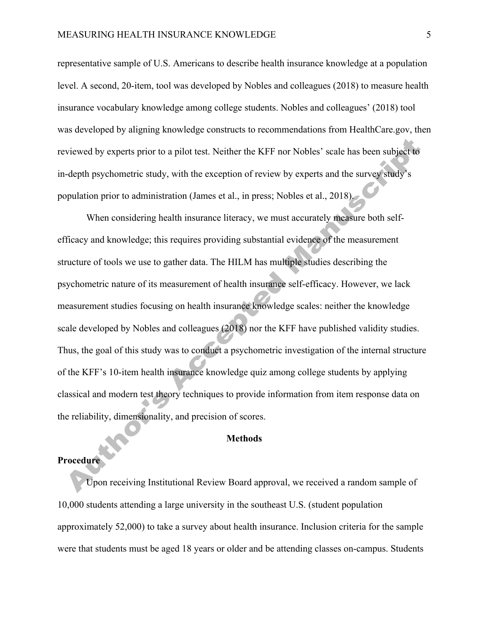representative sample of U.S. Americans to describe health insurance knowledge at a population level. A second, 20-item, tool was developed by Nobles and colleagues (2018) to measure health insurance vocabulary knowledge among college students. Nobles and colleagues' (2018) tool was developed by aligning knowledge constructs to recommendations from HealthCare.gov, then reviewed by experts prior to a pilot test. Neither the KFF nor Nobles' scale has been subject to in-depth psychometric study, with the exception of review by experts and the survey study's population prior to administration (James et al., in press; Nobles et al., 2018).

When considering health insurance literacy, we must accurately measure both selfefficacy and knowledge; this requires providing substantial evidence of the measurement structure of tools we use to gather data. The HILM has multiple studies describing the psychometric nature of its measurement of health insurance self-efficacy. However, we lack measurement studies focusing on health insurance knowledge scales: neither the knowledge scale developed by Nobles and colleagues (2018) nor the KFF have published validity studies. Thus, the goal of this study was to conduct a psychometric investigation of the internal structure of the KFF's 10-item health insurance knowledge quiz among college students by applying classical and modern test theory techniques to provide information from item response data on the reliability, dimensionality, and precision of scores.

#### **Methods**

## **Procedure**

Upon receiving Institutional Review Board approval, we received a random sample of 10,000 students attending a large university in the southeast U.S. (student population approximately 52,000) to take a survey about health insurance. Inclusion criteria for the sample were that students must be aged 18 years or older and be attending classes on-campus. Students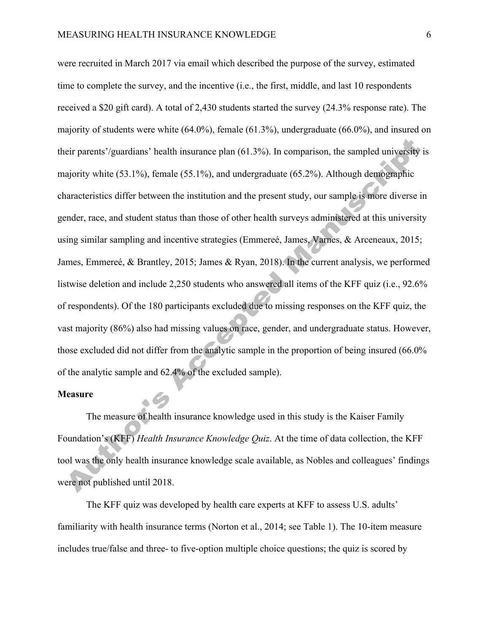were recruited in March 2017 via email which described the purpose of the survey, estimated time to complete the survey, and the incentive (i.e., the first, middle, and last 10 respondents received a \$20 gift card). A total of 2,430 students started the survey (24.3% response rate). The majority of students were white (64.0%), female (61.3%), undergraduate (66.0%), and insured on their parents'/guardians' health insurance plan (61.3%). In comparison, the sampled university is majority white (53.1%), female (55.1%), and undergraduate (65.2%). Although demographic characteristics differ between the institution and the present study, our sample is more diverse in gender, race, and student status than those of other health surveys administered at this university using similar sampling and incentive strategies (Emmereé, James, Varnes, & Arceneaux, 2015; James, Emmereé, & Brantley, 2015; James & Ryan, 2018). In the current analysis, we performed listwise deletion and include 2,250 students who answered all items of the KFF quiz (i.e., 92.6% of respondents). Of the 180 participants excluded due to missing responses on the KFF quiz, the vast majority (86%) also had missing values on race, gender, and undergraduate status. However, those excluded did not differ from the analytic sample in the proportion of being insured (66.0% of the analytic sample and 62.4% of the excluded sample).

#### **Measure**

The measure of health insurance knowledge used in this study is the Kaiser Family Foundation's (KFF) *Health Insurance Knowledge Quiz*. At the time of data collection, the KFF tool was the only health insurance knowledge scale available, as Nobles and colleagues' findings were not published until 2018.

The KFF quiz was developed by health care experts at KFF to assess U.S. adults' familiarity with health insurance terms (Norton et al., 2014; see Table 1). The 10-item measure includes true/false and three- to five-option multiple choice questions; the quiz is scored by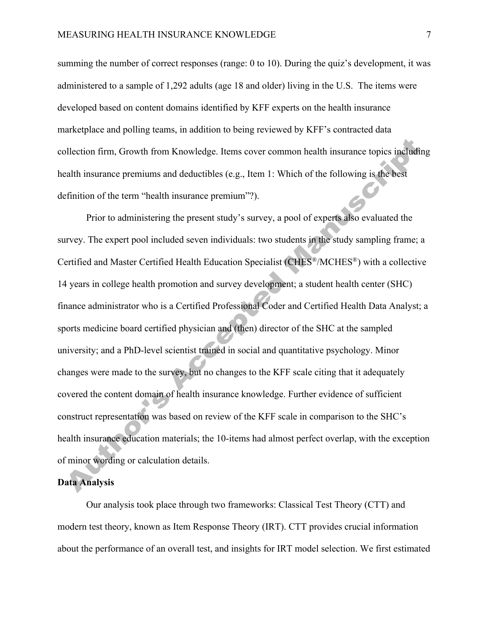summing the number of correct responses (range: 0 to 10). During the quiz's development, it was administered to a sample of 1,292 adults (age 18 and older) living in the U.S. The items were developed based on content domains identified by KFF experts on the health insurance marketplace and polling teams, in addition to being reviewed by KFF's contracted data collection firm, Growth from Knowledge. Items cover common health insurance topics including health insurance premiums and deductibles (e.g., Item 1: Which of the following is the best definition of the term "health insurance premium"?).

Prior to administering the present study's survey, a pool of experts also evaluated the survey. The expert pool included seven individuals: two students in the study sampling frame; a Certified and Master Certified Health Education Specialist (CHES®/MCHES®) with a collective 14 years in college health promotion and survey development; a student health center (SHC) finance administrator who is a Certified Professional Coder and Certified Health Data Analyst; a sports medicine board certified physician and (then) director of the SHC at the sampled university; and a PhD-level scientist trained in social and quantitative psychology. Minor changes were made to the survey, but no changes to the KFF scale citing that it adequately covered the content domain of health insurance knowledge. Further evidence of sufficient construct representation was based on review of the KFF scale in comparison to the SHC's health insurance education materials; the 10-items had almost perfect overlap, with the exception of minor wording or calculation details.

## **Data Analysis**

Our analysis took place through two frameworks: Classical Test Theory (CTT) and modern test theory, known as Item Response Theory (IRT). CTT provides crucial information about the performance of an overall test, and insights for IRT model selection. We first estimated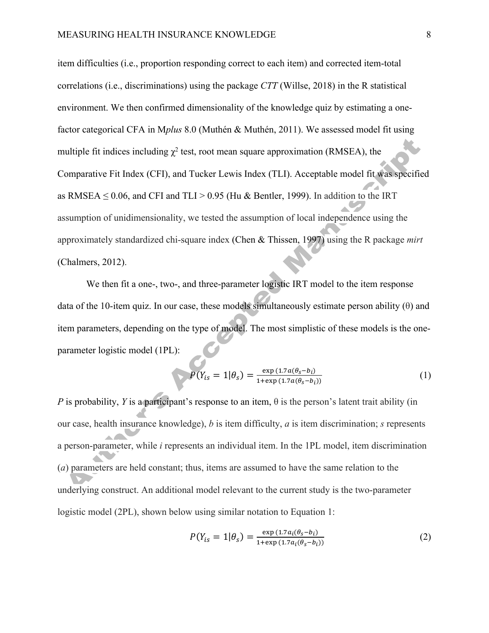item difficulties (i.e., proportion responding correct to each item) and corrected item-total correlations (i.e., discriminations) using the package *CTT* (Willse, 2018) in the R statistical environment. We then confirmed dimensionality of the knowledge quiz by estimating a onefactor categorical CFA in M*plus* 8.0 (Muthén & Muthén, 2011). We assessed model fit using multiple fit indices including  $\chi^2$  test, root mean square approximation (RMSEA), the Comparative Fit Index (CFI), and Tucker Lewis Index (TLI). Acceptable model fit was specified as RMSEA  $\leq$  0.06, and CFI and TLI > 0.95 (Hu & Bentler, 1999). In addition to the IRT assumption of unidimensionality, we tested the assumption of local independence using the approximately standardized chi-square index (Chen & Thissen, 1997) using the R package *mirt* (Chalmers, 2012).

We then fit a one-, two-, and three-parameter logistic IRT model to the item response data of the 10-item quiz. In our case, these models simultaneously estimate person ability  $(\theta)$  and item parameters, depending on the type of model. The most simplistic of these models is the oneparameter logistic model (1PL):

$$
P(Y_{is} = 1 | \theta_s) = \frac{\exp(1.7a(\theta_s - b_i))}{1 + \exp(1.7a(\theta_s - b_i))}
$$
(1)

*P* is probability, *Y* is a participant's response to an item,  $\theta$  is the person's latent trait ability (in our case, health insurance knowledge), *b* is item difficulty, *a* is item discrimination; *s* represents a person-parameter, while *i* represents an individual item. In the 1PL model, item discrimination (*a*) parameters are held constant; thus, items are assumed to have the same relation to the underlying construct. An additional model relevant to the current study is the two-parameter logistic model (2PL), shown below using similar notation to Equation 1:

$$
P(Y_{is} = 1 | \theta_s) = \frac{\exp (1.7a_i(\theta_s - b_i))}{1 + \exp (1.7a_i(\theta_s - b_i))}
$$
(2)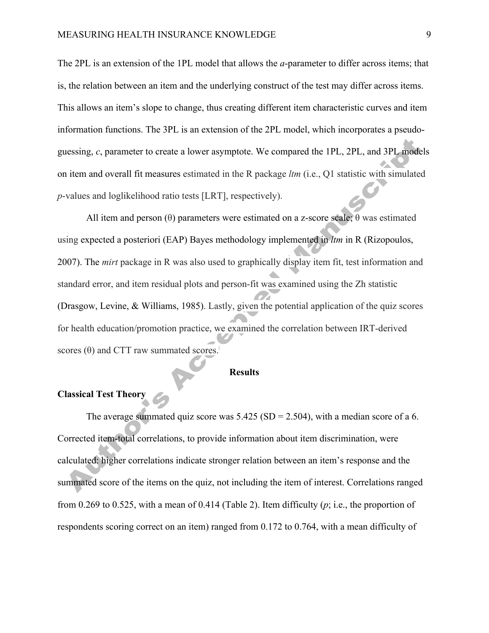The 2PL is an extension of the 1PL model that allows the *a*-parameter to differ across items; that is, the relation between an item and the underlying construct of the test may differ across items. This allows an item's slope to change, thus creating different item characteristic curves and item information functions. The 3PL is an extension of the 2PL model, which incorporates a pseudoguessing, *c*, parameter to create a lower asymptote. We compared the 1PL, 2PL, and 3PL models on item and overall fit measures estimated in the R package *ltm* (i.e., Q1 statistic with simulated *p*-values and loglikelihood ratio tests [LRT], respectively).

All item and person  $(\theta)$  parameters were estimated on a z-score scale;  $\theta$  was estimated using expected a posteriori (EAP) Bayes methodology implemented in *ltm* in R (Rizopoulos, 2007). The *mirt* package in R was also used to graphically display item fit, test information and standard error, and item residual plots and person-fit was examined using the Zh statistic (Drasgow, Levine, & Williams, 1985). Lastly, given the potential application of the quiz scores for health education/promotion practice, we examined the correlation between IRT-derived scores  $(\theta)$  and CTT raw summated scores.

### **Results**

## **Classical Test Theory**

The average summated quiz score was  $5.425$  (SD = 2.504), with a median score of a 6. Corrected item-total correlations, to provide information about item discrimination, were calculated: higher correlations indicate stronger relation between an item's response and the summated score of the items on the quiz, not including the item of interest. Correlations ranged from 0.269 to 0.525, with a mean of 0.414 (Table 2). Item difficulty (*p*; i.e., the proportion of respondents scoring correct on an item) ranged from 0.172 to 0.764, with a mean difficulty of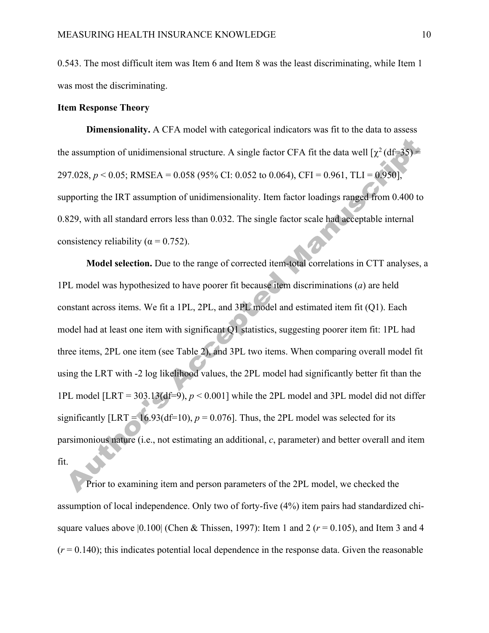0.543. The most difficult item was Item 6 and Item 8 was the least discriminating, while Item 1 was most the discriminating.

## **Item Response Theory**

**Dimensionality.** A CFA model with categorical indicators was fit to the data to assess the assumption of unidimensional structure. A single factor CFA fit the data well  $[\chi^2(df=35)$  = 297.028,  $p < 0.05$ ; RMSEA = 0.058 (95% CI: 0.052 to 0.064), CFI = 0.961, TLI = 0.950], supporting the IRT assumption of unidimensionality. Item factor loadings ranged from 0.400 to 0.829, with all standard errors less than 0.032. The single factor scale had acceptable internal consistency reliability ( $\alpha$  = 0.752).

**Model selection.** Due to the range of corrected item-total correlations in CTT analyses, a 1PL model was hypothesized to have poorer fit because item discriminations (*a*) are held constant across items. We fit a 1PL, 2PL, and 3PL model and estimated item fit (Q1). Each model had at least one item with significant Q1 statistics, suggesting poorer item fit: 1PL had three items, 2PL one item (see Table 2), and 3PL two items. When comparing overall model fit using the LRT with -2 log likelihood values, the 2PL model had significantly better fit than the 1PL model  $[LRT = 303.13(df=9), p < 0.001]$  while the 2PL model and 3PL model did not differ significantly  $[LRT = 16.93(df=10), p = 0.076]$ . Thus, the 2PL model was selected for its parsimonious nature (i.e., not estimating an additional, *c*, parameter) and better overall and item fit.

Prior to examining item and person parameters of the 2PL model, we checked the assumption of local independence. Only two of forty-five (4%) item pairs had standardized chisquare values above  $|0.100|$  (Chen & Thissen, 1997): Item 1 and 2 ( $r = 0.105$ ), and Item 3 and 4  $(r = 0.140)$ ; this indicates potential local dependence in the response data. Given the reasonable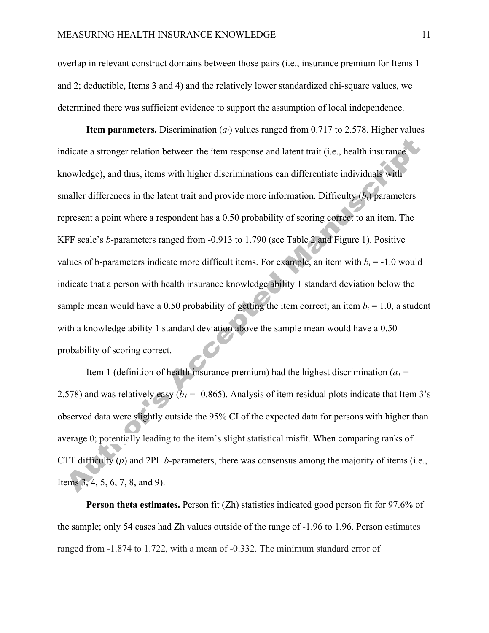overlap in relevant construct domains between those pairs (i.e., insurance premium for Items 1 and 2; deductible, Items 3 and 4) and the relatively lower standardized chi-square values, we determined there was sufficient evidence to support the assumption of local independence.

**Item parameters.** Discrimination (*ai*) values ranged from 0.717 to 2.578. Higher values indicate a stronger relation between the item response and latent trait (i.e., health insurance knowledge), and thus, items with higher discriminations can differentiate individuals with smaller differences in the latent trait and provide more information. Difficulty  $(b_i)$  parameters represent a point where a respondent has a 0.50 probability of scoring correct to an item. The KFF scale's *b*-parameters ranged from -0.913 to 1.790 (see Table 2 and Figure 1). Positive values of b-parameters indicate more difficult items. For example, an item with  $b_i = -1.0$  would indicate that a person with health insurance knowledge ability 1 standard deviation below the sample mean would have a 0.50 probability of getting the item correct; an item  $b_i = 1.0$ , a student with a knowledge ability 1 standard deviation above the sample mean would have a 0.50 probability of scoring correct.

Item 1 (definition of health insurance premium) had the highest discrimination  $(a_1 =$ 2.578) and was relatively easy  $(b_1 = -0.865)$ . Analysis of item residual plots indicate that Item 3's observed data were slightly outside the 95% CI of the expected data for persons with higher than average θ; potentially leading to the item's slight statistical misfit. When comparing ranks of CTT difficulty (*p*) and 2PL *b*-parameters, there was consensus among the majority of items (i.e., Items 3, 4, 5, 6, 7, 8, and 9).

**Person theta estimates.** Person fit (Zh) statistics indicated good person fit for 97.6% of the sample; only 54 cases had Zh values outside of the range of -1.96 to 1.96. Person estimates ranged from -1.874 to 1.722, with a mean of -0.332. The minimum standard error of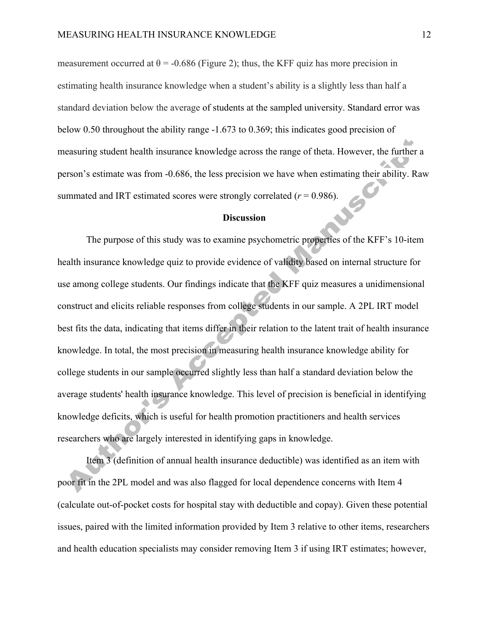measurement occurred at  $\theta = -0.686$  (Figure 2); thus, the KFF quiz has more precision in estimating health insurance knowledge when a student's ability is a slightly less than half a standard deviation below the average of students at the sampled university. Standard error was below 0.50 throughout the ability range -1.673 to 0.369; this indicates good precision of measuring student health insurance knowledge across the range of theta. However, the further a person's estimate was from -0.686, the less precision we have when estimating their ability. Raw summated and IRT estimated scores were strongly correlated  $(r = 0.986)$ .

## **Discussion**

The purpose of this study was to examine psychometric properties of the KFF's 10-item health insurance knowledge quiz to provide evidence of validity based on internal structure for use among college students. Our findings indicate that the KFF quiz measures a unidimensional construct and elicits reliable responses from college students in our sample. A 2PL IRT model best fits the data, indicating that items differ in their relation to the latent trait of health insurance knowledge. In total, the most precision in measuring health insurance knowledge ability for college students in our sample occurred slightly less than half a standard deviation below the average students' health insurance knowledge. This level of precision is beneficial in identifying knowledge deficits, which is useful for health promotion practitioners and health services researchers who are largely interested in identifying gaps in knowledge.

Item 3 (definition of annual health insurance deductible) was identified as an item with poor fit in the 2PL model and was also flagged for local dependence concerns with Item 4 (calculate out-of-pocket costs for hospital stay with deductible and copay). Given these potential issues, paired with the limited information provided by Item 3 relative to other items, researchers and health education specialists may consider removing Item 3 if using IRT estimates; however,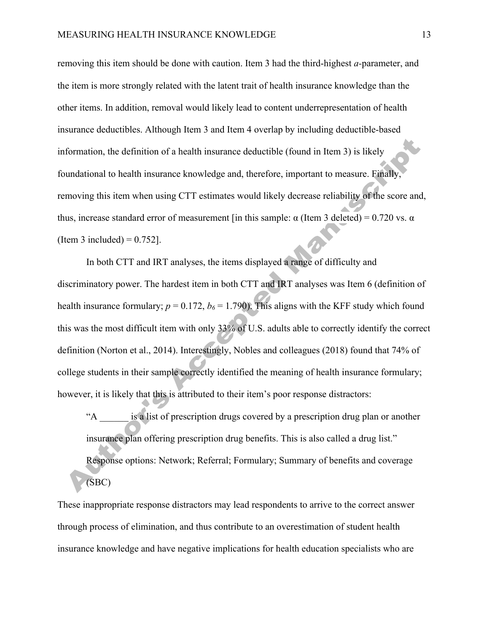removing this item should be done with caution. Item 3 had the third-highest *a-*parameter, and the item is more strongly related with the latent trait of health insurance knowledge than the other items. In addition, removal would likely lead to content underrepresentation of health insurance deductibles. Although Item 3 and Item 4 overlap by including deductible-based information, the definition of a health insurance deductible (found in Item 3) is likely foundational to health insurance knowledge and, therefore, important to measure. Finally, removing this item when using CTT estimates would likely decrease reliability of the score and, thus, increase standard error of measurement [in this sample: α (Item 3 deleted) = 0.720 vs. α (Item 3 included)  $= 0.752$ ].

In both CTT and IRT analyses, the items displayed a range of difficulty and discriminatory power. The hardest item in both CTT and IRT analyses was Item 6 (definition of health insurance formulary;  $p = 0.172$ ,  $b_6 = 1.790$ ). This aligns with the KFF study which found this was the most difficult item with only 33% of U.S. adults able to correctly identify the correct definition (Norton et al., 2014). Interestingly, Nobles and colleagues (2018) found that 74% of college students in their sample correctly identified the meaning of health insurance formulary; however, it is likely that this is attributed to their item's poor response distractors:

is a list of prescription drugs covered by a prescription drug plan or another insurance plan offering prescription drug benefits. This is also called a drug list." Response options: Network; Referral; Formulary; Summary of benefits and coverage (SBC)

These inappropriate response distractors may lead respondents to arrive to the correct answer through process of elimination, and thus contribute to an overestimation of student health insurance knowledge and have negative implications for health education specialists who are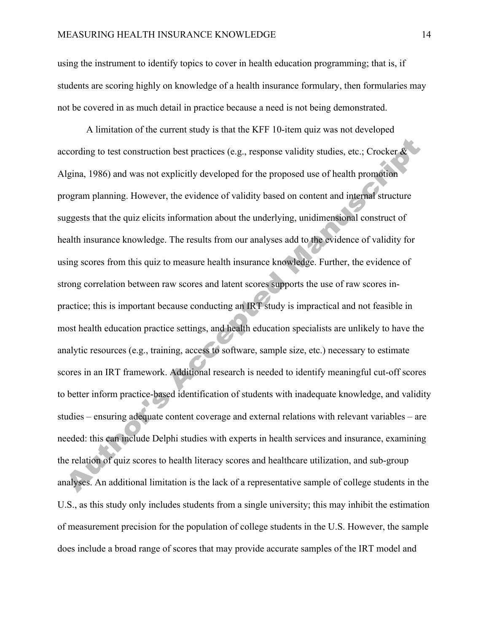using the instrument to identify topics to cover in health education programming; that is, if students are scoring highly on knowledge of a health insurance formulary, then formularies may not be covered in as much detail in practice because a need is not being demonstrated.

A limitation of the current study is that the KFF 10-item quiz was not developed according to test construction best practices (e.g., response validity studies, etc.; Crocker & Algina, 1986) and was not explicitly developed for the proposed use of health promotion program planning. However, the evidence of validity based on content and internal structure suggests that the quiz elicits information about the underlying, unidimensional construct of health insurance knowledge. The results from our analyses add to the evidence of validity for using scores from this quiz to measure health insurance knowledge. Further, the evidence of strong correlation between raw scores and latent scores supports the use of raw scores inpractice; this is important because conducting an IRT study is impractical and not feasible in most health education practice settings, and health education specialists are unlikely to have the analytic resources (e.g., training, access to software, sample size, etc.) necessary to estimate scores in an IRT framework. Additional research is needed to identify meaningful cut-off scores to better inform practice-based identification of students with inadequate knowledge, and validity studies – ensuring adequate content coverage and external relations with relevant variables – are needed: this can include Delphi studies with experts in health services and insurance, examining the relation of quiz scores to health literacy scores and healthcare utilization, and sub-group analyses. An additional limitation is the lack of a representative sample of college students in the U.S., as this study only includes students from a single university; this may inhibit the estimation of measurement precision for the population of college students in the U.S. However, the sample does include a broad range of scores that may provide accurate samples of the IRT model and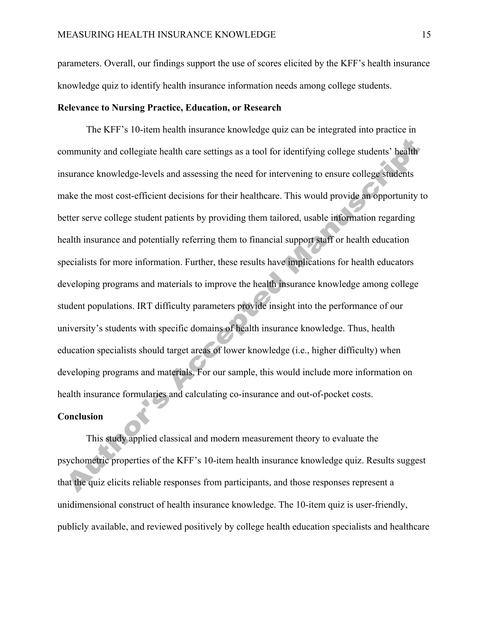parameters. Overall, our findings support the use of scores elicited by the KFF's health insurance knowledge quiz to identify health insurance information needs among college students.

## **Relevance to Nursing Practice, Education, or Research**

The KFF's 10-item health insurance knowledge quiz can be integrated into practice in community and collegiate health care settings as a tool for identifying college students' health insurance knowledge-levels and assessing the need for intervening to ensure college students make the most cost-efficient decisions for their healthcare. This would provide an opportunity to better serve college student patients by providing them tailored, usable information regarding health insurance and potentially referring them to financial support staff or health education specialists for more information. Further, these results have implications for health educators developing programs and materials to improve the health insurance knowledge among college student populations. IRT difficulty parameters provide insight into the performance of our university's students with specific domains of health insurance knowledge. Thus, health education specialists should target areas of lower knowledge (i.e., higher difficulty) when developing programs and materials. For our sample, this would include more information on health insurance formularies and calculating co-insurance and out-of-pocket costs.

#### **Conclusion**

This study applied classical and modern measurement theory to evaluate the psychometric properties of the KFF's 10-item health insurance knowledge quiz. Results suggest that the quiz elicits reliable responses from participants, and those responses represent a unidimensional construct of health insurance knowledge. The 10-item quiz is user-friendly, publicly available, and reviewed positively by college health education specialists and healthcare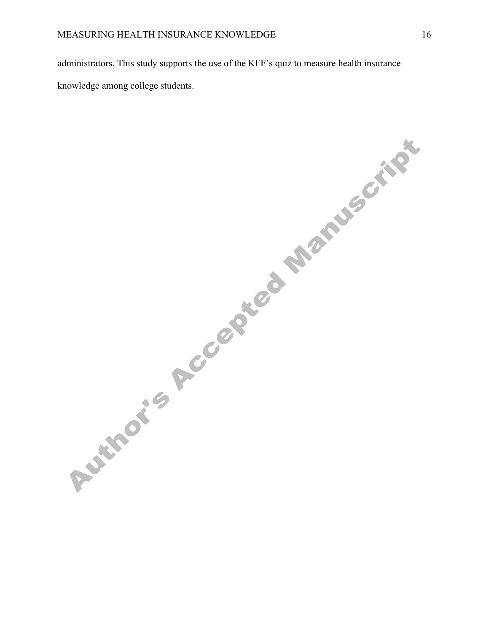administrators. This study supports the use of the KFF's quiz to measure health insurance knowledge among college students.

Author's Accepted Manuscript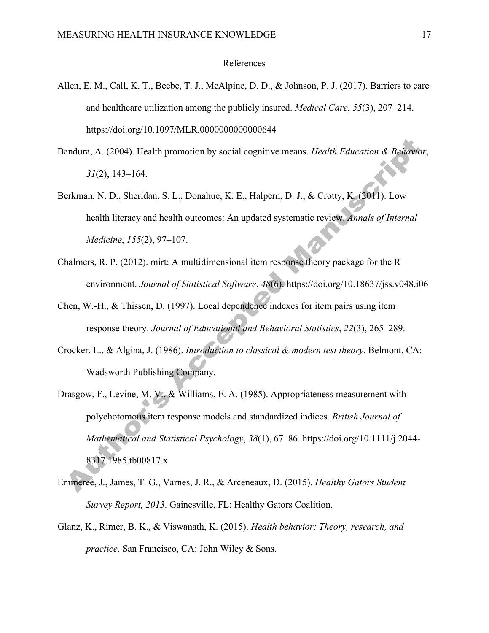#### References

- Allen, E. M., Call, K. T., Beebe, T. J., McAlpine, D. D., & Johnson, P. J. (2017). Barriers to care and healthcare utilization among the publicly insured. *Medical Care*, *55*(3), 207–214. https://doi.org/10.1097/MLR.0000000000000644
- Bandura, A. (2004). Health promotion by social cognitive means. *Health Education & Behavior*, *31*(2), 143–164.
- Berkman, N. D., Sheridan, S. L., Donahue, K. E., Halpern, D. J., & Crotty, K. (2011). Low health literacy and health outcomes: An updated systematic review. *Annals of Internal Medicine*, *155*(2), 97–107.
- Chalmers, R. P. (2012). mirt: A multidimensional item response theory package for the R environment. *Journal of Statistical Software*, *48*(6). https://doi.org/10.18637/jss.v048.i06
- Chen, W.-H., & Thissen, D. (1997). Local dependence indexes for item pairs using item response theory. *Journal of Educational and Behavioral Statistics*, *22*(3), 265–289.
- Crocker, L., & Algina, J. (1986). *Introduction to classical & modern test theory*. Belmont, CA: Wadsworth Publishing Company.
- Drasgow, F., Levine, M. V., & Williams, E. A. (1985). Appropriateness measurement with polychotomous item response models and standardized indices. *British Journal of Mathematical and Statistical Psychology*, *38*(1), 67–86. https://doi.org/10.1111/j.2044- 8317.1985.tb00817.x
- Emmereé, J., James, T. G., Varnes, J. R., & Arceneaux, D. (2015). *Healthy Gators Student Survey Report, 2013*. Gainesville, FL: Healthy Gators Coalition.
- Glanz, K., Rimer, B. K., & Viswanath, K. (2015). *Health behavior: Theory, research, and practice*. San Francisco, CA: John Wiley & Sons.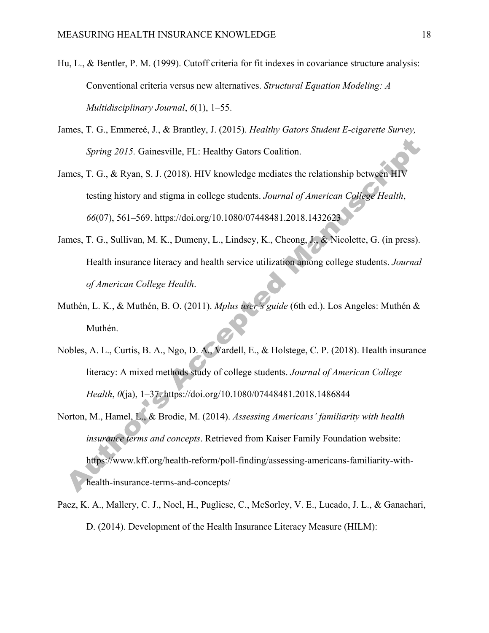- Hu, L., & Bentler, P. M. (1999). Cutoff criteria for fit indexes in covariance structure analysis: Conventional criteria versus new alternatives. *Structural Equation Modeling: A Multidisciplinary Journal*, *6*(1), 1–55.
- James, T. G., Emmereé, J., & Brantley, J. (2015). *Healthy Gators Student E-cigarette Survey, Spring 2015.* Gainesville, FL: Healthy Gators Coalition.
- James, T. G., & Ryan, S. J. (2018). HIV knowledge mediates the relationship between HIV testing history and stigma in college students. *Journal of American College Health*, *66*(07), 561–569. https://doi.org/10.1080/07448481.2018.1432623
- James, T. G., Sullivan, M. K., Dumeny, L., Lindsey, K., Cheong, J., & Nicolette, G. (in press). Health insurance literacy and health service utilization among college students. *Journal of American College Health*.
- Muthén, L. K., & Muthén, B. O. (2011). *Mplus user's guide* (6th ed.). Los Angeles: Muthén & Muthén.
- Nobles, A. L., Curtis, B. A., Ngo, D. A., Vardell, E., & Holstege, C. P. (2018). Health insurance literacy: A mixed methods study of college students. *Journal of American College Health*, *0*(ja), 1–37. https://doi.org/10.1080/07448481.2018.1486844
- Norton, M., Hamel, L., & Brodie, M. (2014). *Assessing Americans' familiarity with health insurance terms and concepts*. Retrieved from Kaiser Family Foundation website: https://www.kff.org/health-reform/poll-finding/assessing-americans-familiarity-withhealth-insurance-terms-and-concepts/
- Paez, K. A., Mallery, C. J., Noel, H., Pugliese, C., McSorley, V. E., Lucado, J. L., & Ganachari, D. (2014). Development of the Health Insurance Literacy Measure (HILM):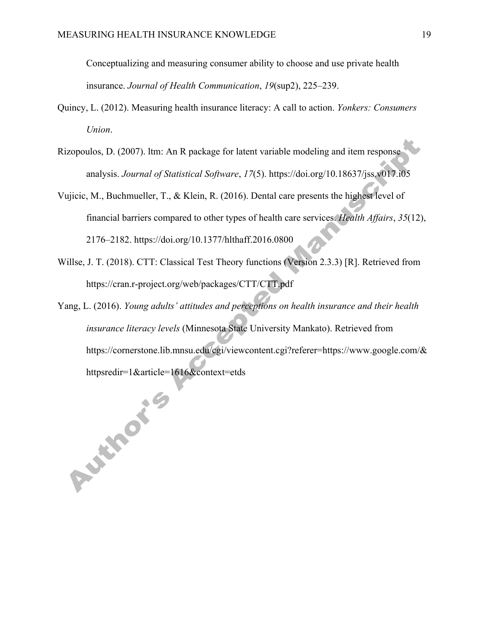Conceptualizing and measuring consumer ability to choose and use private health insurance. *Journal of Health Communication*, *19*(sup2), 225–239.

- Quincy, L. (2012). Measuring health insurance literacy: A call to action. *Yonkers: Consumers Union*.
- Rizopoulos, D. (2007). ltm: An R package for latent variable modeling and item response analysis. *Journal of Statistical Software*, *17*(5). https://doi.org/10.18637/jss.v017.i05
- Vujicic, M., Buchmueller, T., & Klein, R. (2016). Dental care presents the highest level of financial barriers compared to other types of health care services. *Health Affairs*, *35*(12), 2176–2182. https://doi.org/10.1377/hlthaff.2016.0800
- Willse, J. T. (2018). CTT: Classical Test Theory functions (Version 2.3.3) [R]. Retrieved from https://cran.r-project.org/web/packages/CTT/CTT.pdf
- Yang, L. (2016). *Young adults' attitudes and perceptions on health insurance and their health insurance literacy levels* (Minnesota State University Mankato). Retrieved from https://cornerstone.lib.mnsu.edu/cgi/viewcontent.cgi?referer=https://www.google.com/&

httpsredir=1&article=1616&context=etds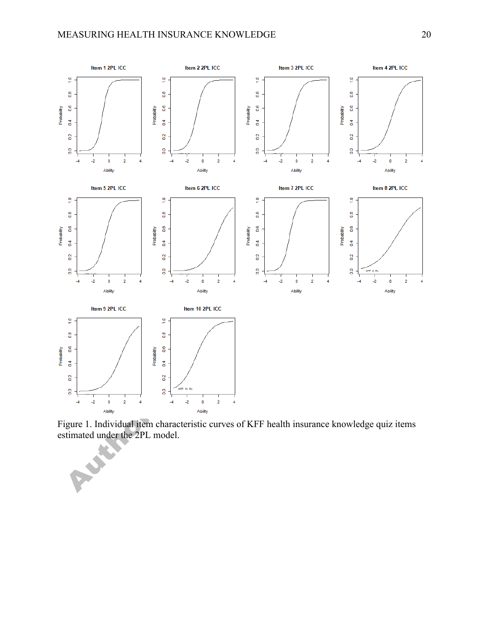

Figure 1. Individual item characteristic curves of KFF health insurance knowledge quiz items estimated under the 2PL model.

REA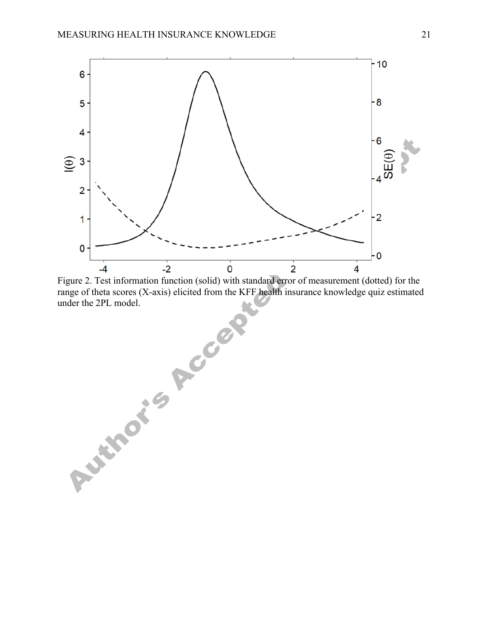

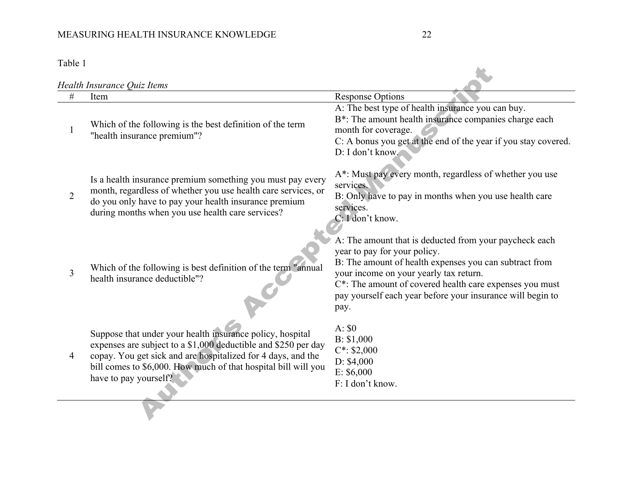# MEASURING HEALTH INSURANCE KNOWLEDGE 22

Table 1

|                | Health Insurance Quiz Items                                                                                                                                                                                                                                                            |                                                                                                                                                                                                                                                                                                                             |  |  |  |
|----------------|----------------------------------------------------------------------------------------------------------------------------------------------------------------------------------------------------------------------------------------------------------------------------------------|-----------------------------------------------------------------------------------------------------------------------------------------------------------------------------------------------------------------------------------------------------------------------------------------------------------------------------|--|--|--|
| #              | Item                                                                                                                                                                                                                                                                                   | <b>Response Options</b>                                                                                                                                                                                                                                                                                                     |  |  |  |
|                | Which of the following is the best definition of the term<br>"health insurance premium"?                                                                                                                                                                                               | A: The best type of health insurance you can buy.<br>B*: The amount health insurance companies charge each<br>month for coverage.<br>C: A bonus you get at the end of the year if you stay covered.<br>D: I don't know.                                                                                                     |  |  |  |
| $\overline{2}$ | Is a health insurance premium something you must pay every<br>month, regardless of whether you use health care services, or<br>do you only have to pay your health insurance premium<br>during months when you use health care services?                                               | A*: Must pay every month, regardless of whether you use<br>services.<br>B: Only have to pay in months when you use health care<br>services.<br>C: I don't know.                                                                                                                                                             |  |  |  |
| 3              | Which of the following is best definition of the term "annual<br>health insurance deductible"?                                                                                                                                                                                         | A: The amount that is deducted from your paycheck each<br>year to pay for your policy.<br>B: The amount of health expenses you can subtract from<br>your income on your yearly tax return.<br>C*: The amount of covered health care expenses you must<br>pay yourself each year before your insurance will begin to<br>pay. |  |  |  |
| $\overline{4}$ | Suppose that under your health insurance policy, hospital<br>expenses are subject to a \$1,000 deductible and \$250 per day<br>copay. You get sick and are hospitalized for 4 days, and the<br>bill comes to \$6,000. How much of that hospital bill will you<br>have to pay yourself? | A: \$0<br>B: \$1,000<br>$C^*$ : \$2,000<br>D: \$4,000<br>E: \$6,000<br>F: I don't know.                                                                                                                                                                                                                                     |  |  |  |
|                |                                                                                                                                                                                                                                                                                        |                                                                                                                                                                                                                                                                                                                             |  |  |  |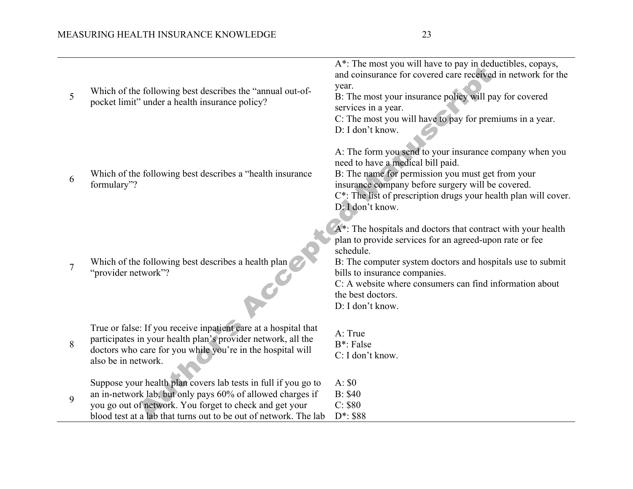| 5 | Which of the following best describes the "annual out-of-<br>pocket limit" under a health insurance policy?                                                                                                                                                 | A*: The most you will have to pay in deductibles, copays,<br>and coinsurance for covered care received in network for the<br>year.<br>B: The most your insurance policy will pay for covered<br>services in a year.<br>C: The most you will have to pay for premiums in a year.<br>D: I don't know.                                     |
|---|-------------------------------------------------------------------------------------------------------------------------------------------------------------------------------------------------------------------------------------------------------------|-----------------------------------------------------------------------------------------------------------------------------------------------------------------------------------------------------------------------------------------------------------------------------------------------------------------------------------------|
| 6 | Which of the following best describes a "health insurance"<br>formulary"?                                                                                                                                                                                   | A: The form you send to your insurance company when you<br>need to have a medical bill paid.<br>B: The name for permission you must get from your<br>insurance company before surgery will be covered.<br>C*: The list of prescription drugs your health plan will cover.<br>D: I don't know.                                           |
| 7 | Which of the following best describes a health plan<br>"provider network"?                                                                                                                                                                                  | A*: The hospitals and doctors that contract with your health<br>plan to provide services for an agreed-upon rate or fee<br>schedule.<br>B: The computer system doctors and hospitals use to submit<br>bills to insurance companies.<br>C: A website where consumers can find information about<br>the best doctors.<br>D: I don't know. |
| 8 | True or false: If you receive inpatient care at a hospital that<br>participates in your health plan's provider network, all the<br>doctors who care for you while you're in the hospital will<br>also be in network.                                        | A: True<br>B <sup>*</sup> : False<br>C: I don't know.                                                                                                                                                                                                                                                                                   |
| 9 | Suppose your health plan covers lab tests in full if you go to<br>an in-network lab, but only pays 60% of allowed charges if<br>you go out of network. You forget to check and get your<br>blood test at a lab that turns out to be out of network. The lab | A: \$0<br><b>B</b> : \$40<br>C: \$80<br>$D^*$ : \$88                                                                                                                                                                                                                                                                                    |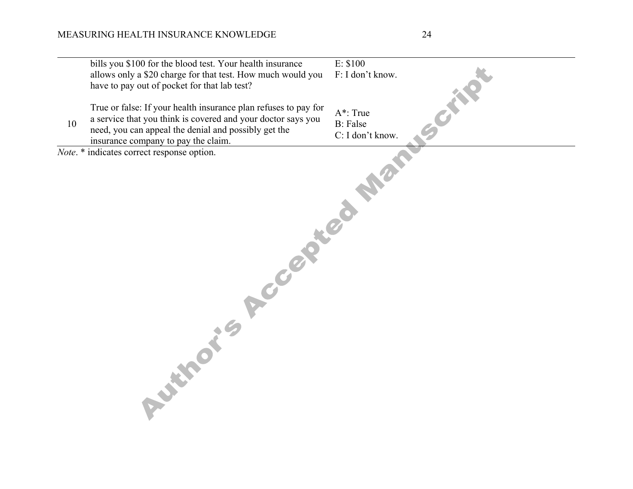|    | bills you \$100 for the blood test. Your health insurance       | E: \$100         |
|----|-----------------------------------------------------------------|------------------|
|    | allows only a \$20 charge for that test. How much would you     | F: I don't know. |
|    | have to pay out of pocket for that lab test?                    |                  |
|    |                                                                 |                  |
|    | True or false: If your health insurance plan refuses to pay for | <b>SCIENCE</b>   |
|    | a service that you think is covered and your doctor says you    | A*: True         |
| 10 | need, you can appeal the denial and possibly get the            | <b>B</b> : False |
|    | insurance company to pay the claim.                             | C: I don't know. |
|    | Note. * indicates correct response option.                      |                  |
|    | <b>Authoris Reception Mary</b>                                  |                  |
|    |                                                                 |                  |
|    |                                                                 |                  |